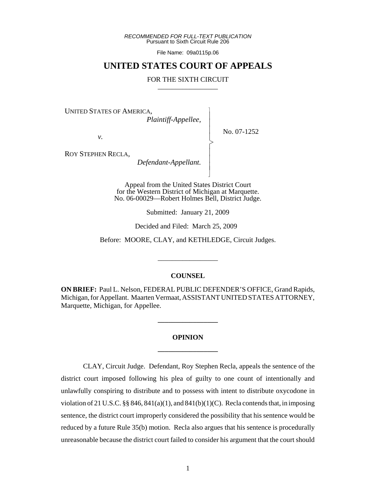*RECOMMENDED FOR FULL-TEXT PUBLICATION* Pursuant to Sixth Circuit Rule 206

File Name: 09a0115p.06

# **UNITED STATES COURT OF APPEALS**

#### FOR THE SIXTH CIRCUIT

 $\overline{\phantom{a}}$ - - - > , - - - N

UNITED STATES OF AMERICA,

 *Plaintiff-Appellee,*

No. 07-1252

*v.*

ROY STEPHEN RECLA,

 *Defendant-Appellant.*

Appeal from the United States District Court for the Western District of Michigan at Marquette. No. 06-00029—Robert Holmes Bell, District Judge.

Submitted: January 21, 2009

Decided and Filed: March 25, 2009

Before: MOORE, CLAY, and KETHLEDGE, Circuit Judges.

\_\_\_\_\_\_\_\_\_\_\_\_\_\_\_\_\_

#### **COUNSEL**

**ON BRIEF:** Paul L. Nelson, FEDERAL PUBLIC DEFENDER'S OFFICE, Grand Rapids, Michigan, for Appellant. Maarten Vermaat, ASSISTANT UNITED STATES ATTORNEY, Marquette, Michigan, for Appellee.

# **OPINION \_\_\_\_\_\_\_\_\_\_\_\_\_\_\_\_\_**

**\_\_\_\_\_\_\_\_\_\_\_\_\_\_\_\_\_**

CLAY, Circuit Judge. Defendant, Roy Stephen Recla, appeals the sentence of the district court imposed following his plea of guilty to one count of intentionally and unlawfully conspiring to distribute and to possess with intent to distribute oxycodone in violation of 21 U.S.C.  $\S$  846, 841(a)(1), and 841(b)(1)(C). Recla contends that, in imposing sentence, the district court improperly considered the possibility that his sentence would be reduced by a future Rule 35(b) motion. Recla also argues that his sentence is procedurally unreasonable because the district court failed to consider his argument that the court should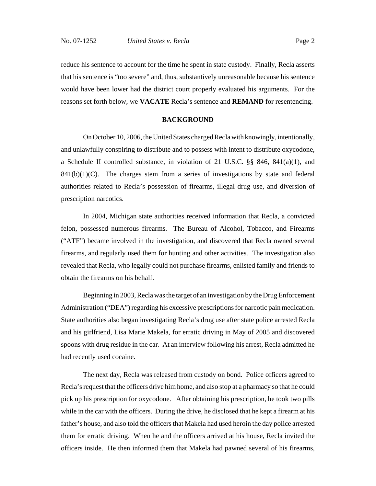reduce his sentence to account for the time he spent in state custody. Finally, Recla asserts that his sentence is "too severe" and, thus, substantively unreasonable because his sentence would have been lower had the district court properly evaluated his arguments. For the reasons set forth below, we **VACATE** Recla's sentence and **REMAND** for resentencing.

## **BACKGROUND**

On October 10, 2006, the United States charged Recla with knowingly, intentionally, and unlawfully conspiring to distribute and to possess with intent to distribute oxycodone, a Schedule II controlled substance, in violation of 21 U.S.C. §§ 846, 841(a)(1), and  $841(b)(1)(C)$ . The charges stem from a series of investigations by state and federal authorities related to Recla's possession of firearms, illegal drug use, and diversion of prescription narcotics.

In 2004, Michigan state authorities received information that Recla, a convicted felon, possessed numerous firearms. The Bureau of Alcohol, Tobacco, and Firearms ("ATF") became involved in the investigation, and discovered that Recla owned several firearms, and regularly used them for hunting and other activities. The investigation also revealed that Recla, who legally could not purchase firearms, enlisted family and friends to obtain the firearms on his behalf.

Beginning in 2003, Recla was the target of an investigation by the Drug Enforcement Administration ("DEA") regarding his excessive prescriptions for narcotic pain medication. State authorities also began investigating Recla's drug use after state police arrested Recla and his girlfriend, Lisa Marie Makela, for erratic driving in May of 2005 and discovered spoons with drug residue in the car. At an interview following his arrest, Recla admitted he had recently used cocaine.

The next day, Recla was released from custody on bond. Police officers agreed to Recla's request that the officers drive him home, and also stop at a pharmacy so that he could pick up his prescription for oxycodone. After obtaining his prescription, he took two pills while in the car with the officers. During the drive, he disclosed that he kept a firearm at his father's house, and also told the officers that Makela had used heroin the day police arrested them for erratic driving. When he and the officers arrived at his house, Recla invited the officers inside. He then informed them that Makela had pawned several of his firearms,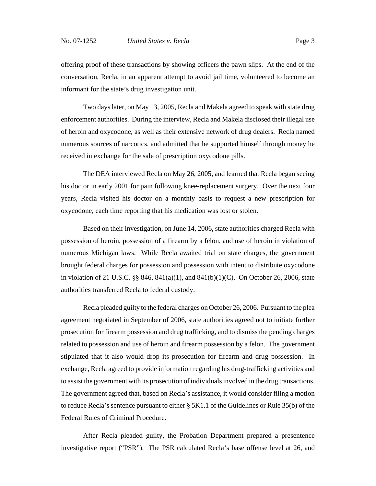offering proof of these transactions by showing officers the pawn slips. At the end of the conversation, Recla, in an apparent attempt to avoid jail time, volunteered to become an informant for the state's drug investigation unit.

Two days later, on May 13, 2005, Recla and Makela agreed to speak with state drug enforcement authorities. During the interview, Recla and Makela disclosed their illegal use of heroin and oxycodone, as well as their extensive network of drug dealers. Recla named numerous sources of narcotics, and admitted that he supported himself through money he received in exchange for the sale of prescription oxycodone pills.

The DEA interviewed Recla on May 26, 2005, and learned that Recla began seeing his doctor in early 2001 for pain following knee-replacement surgery. Over the next four years, Recla visited his doctor on a monthly basis to request a new prescription for oxycodone, each time reporting that his medication was lost or stolen.

Based on their investigation, on June 14, 2006, state authorities charged Recla with possession of heroin, possession of a firearm by a felon, and use of heroin in violation of numerous Michigan laws. While Recla awaited trial on state charges, the government brought federal charges for possession and possession with intent to distribute oxycodone in violation of 21 U.S.C. §§ 846, 841(a)(1), and 841(b)(1)(C). On October 26, 2006, state authorities transferred Recla to federal custody.

Recla pleaded guilty to the federal charges on October 26, 2006. Pursuant to the plea agreement negotiated in September of 2006, state authorities agreed not to initiate further prosecution for firearm possession and drug trafficking, and to dismiss the pending charges related to possession and use of heroin and firearm possession by a felon. The government stipulated that it also would drop its prosecution for firearm and drug possession. In exchange, Recla agreed to provide information regarding his drug-trafficking activities and to assist the government with its prosecution of individuals involved in the drug transactions. The government agreed that, based on Recla's assistance, it would consider filing a motion to reduce Recla's sentence pursuant to either § 5K1.1 of the Guidelines or Rule 35(b) of the Federal Rules of Criminal Procedure.

After Recla pleaded guilty, the Probation Department prepared a presentence investigative report ("PSR"). The PSR calculated Recla's base offense level at 26, and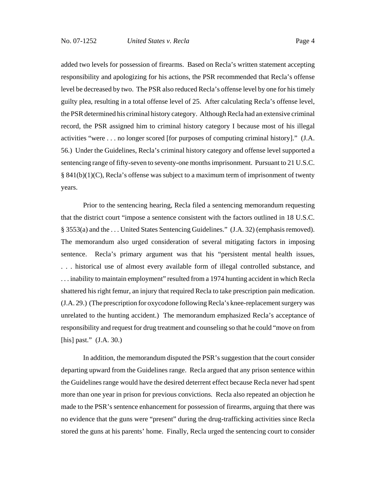added two levels for possession of firearms. Based on Recla's written statement accepting responsibility and apologizing for his actions, the PSR recommended that Recla's offense level be decreased by two. The PSR also reduced Recla's offense level by one for his timely guilty plea, resulting in a total offense level of 25. After calculating Recla's offense level, the PSR determined his criminal history category. Although Recla had an extensive criminal record, the PSR assigned him to criminal history category I because most of his illegal activities "were . . . no longer scored [for purposes of computing criminal history]." (J.A. 56.) Under the Guidelines, Recla's criminal history category and offense level supported a sentencing range of fifty-seven to seventy-one months imprisonment. Pursuant to 21 U.S.C.  $§ 841(b)(1)(C)$ , Recla's offense was subject to a maximum term of imprisonment of twenty years.

Prior to the sentencing hearing, Recla filed a sentencing memorandum requesting that the district court "impose a sentence consistent with the factors outlined in 18 U.S.C. § 3553(a) and the . . . United States Sentencing Guidelines." (J.A. 32) (emphasis removed). The memorandum also urged consideration of several mitigating factors in imposing sentence. Recla's primary argument was that his "persistent mental health issues, . . . historical use of almost every available form of illegal controlled substance, and . . . inability to maintain employment" resulted from a 1974 hunting accident in which Recla shattered his right femur, an injury that required Recla to take prescription pain medication. (J.A. 29.) (The prescription for oxycodone following Recla's knee-replacement surgery was unrelated to the hunting accident.) The memorandum emphasized Recla's acceptance of responsibility and request for drug treatment and counseling so that he could "move on from [his] past." (J.A. 30.)

In addition, the memorandum disputed the PSR's suggestion that the court consider departing upward from the Guidelines range. Recla argued that any prison sentence within the Guidelines range would have the desired deterrent effect because Recla never had spent more than one year in prison for previous convictions. Recla also repeated an objection he made to the PSR's sentence enhancement for possession of firearms, arguing that there was no evidence that the guns were "present" during the drug-trafficking activities since Recla stored the guns at his parents' home. Finally, Recla urged the sentencing court to consider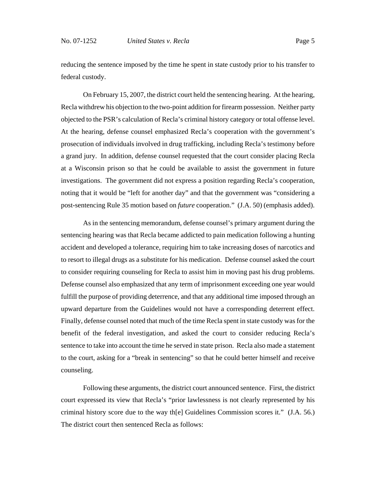reducing the sentence imposed by the time he spent in state custody prior to his transfer to federal custody.

On February 15, 2007, the district court held the sentencing hearing. At the hearing, Recla withdrew his objection to the two-point addition for firearm possession. Neither party objected to the PSR's calculation of Recla's criminal history category or total offense level. At the hearing, defense counsel emphasized Recla's cooperation with the government's prosecution of individuals involved in drug trafficking, including Recla's testimony before a grand jury. In addition, defense counsel requested that the court consider placing Recla at a Wisconsin prison so that he could be available to assist the government in future investigations. The government did not express a position regarding Recla's cooperation, noting that it would be "left for another day" and that the government was "considering a post-sentencing Rule 35 motion based on *future* cooperation." (J.A. 50) (emphasis added).

As in the sentencing memorandum, defense counsel's primary argument during the sentencing hearing was that Recla became addicted to pain medication following a hunting accident and developed a tolerance, requiring him to take increasing doses of narcotics and to resort to illegal drugs as a substitute for his medication. Defense counsel asked the court to consider requiring counseling for Recla to assist him in moving past his drug problems. Defense counsel also emphasized that any term of imprisonment exceeding one year would fulfill the purpose of providing deterrence, and that any additional time imposed through an upward departure from the Guidelines would not have a corresponding deterrent effect. Finally, defense counsel noted that much of the time Recla spent in state custody was for the benefit of the federal investigation, and asked the court to consider reducing Recla's sentence to take into account the time he served in state prison. Recla also made a statement to the court, asking for a "break in sentencing" so that he could better himself and receive counseling.

Following these arguments, the district court announced sentence. First, the district court expressed its view that Recla's "prior lawlessness is not clearly represented by his criminal history score due to the way th[e] Guidelines Commission scores it." (J.A. 56.) The district court then sentenced Recla as follows: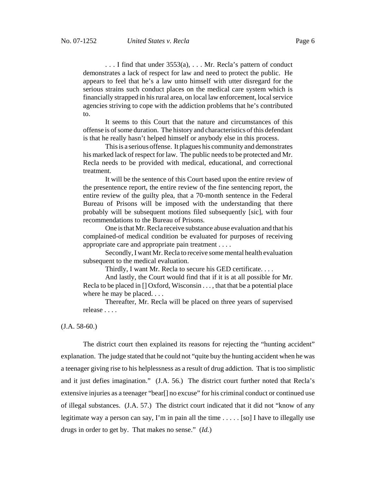. . . I find that under 3553(a), . . . Mr. Recla's pattern of conduct demonstrates a lack of respect for law and need to protect the public. He appears to feel that he's a law unto himself with utter disregard for the serious strains such conduct places on the medical care system which is financially strapped in his rural area, on local law enforcement, local service agencies striving to cope with the addiction problems that he's contributed to.

It seems to this Court that the nature and circumstances of this offense is of some duration. The history and characteristics of this defendant is that he really hasn't helped himself or anybody else in this process.

This is a serious offense. It plagues his community and demonstrates his marked lack of respect for law. The public needs to be protected and Mr. Recla needs to be provided with medical, educational, and correctional treatment.

It will be the sentence of this Court based upon the entire review of the presentence report, the entire review of the fine sentencing report, the entire review of the guilty plea, that a 70-month sentence in the Federal Bureau of Prisons will be imposed with the understanding that there probably will be subsequent motions filed subsequently [sic], with four recommendations to the Bureau of Prisons.

One is that Mr. Recla receive substance abuse evaluation and that his complained-of medical condition be evaluated for purposes of receiving appropriate care and appropriate pain treatment . . . .

Secondly, I want Mr. Recla to receive some mental health evaluation subsequent to the medical evaluation.

Thirdly, I want Mr. Recla to secure his GED certificate. . . .

And lastly, the Court would find that if it is at all possible for Mr. Recla to be placed in [] Oxford, Wisconsin . . . , that that be a potential place where he may be placed. . . .

Thereafter, Mr. Recla will be placed on three years of supervised release . . . .

(J.A. 58-60.)

The district court then explained its reasons for rejecting the "hunting accident" explanation. The judge stated that he could not "quite buy the hunting accident when he was a teenager giving rise to his helplessness as a result of drug addiction. That is too simplistic and it just defies imagination." (J.A. 56.) The district court further noted that Recla's extensive injuries as a teenager "bear[] no excuse" for his criminal conduct or continued use of illegal substances. (J.A. 57.) The district court indicated that it did not "know of any legitimate way a person can say, I'm in pain all the time  $\dots$  [so] I have to illegally use drugs in order to get by. That makes no sense." (*Id.*)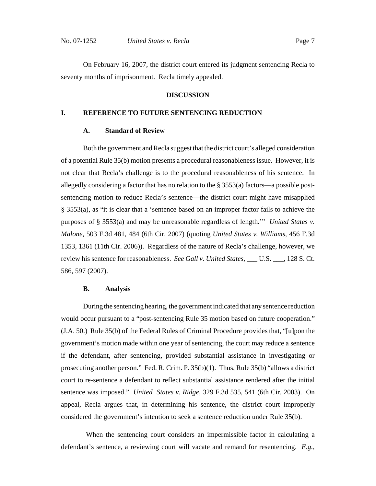On February 16, 2007, the district court entered its judgment sentencing Recla to seventy months of imprisonment. Recla timely appealed.

#### **DISCUSSION**

#### **I. REFERENCE TO FUTURE SENTENCING REDUCTION**

#### **A. Standard of Review**

Both the government and Recla suggest that the district court's alleged consideration of a potential Rule 35(b) motion presents a procedural reasonableness issue. However, it is not clear that Recla's challenge is to the procedural reasonableness of his sentence. In allegedly considering a factor that has no relation to the § 3553(a) factors—a possible postsentencing motion to reduce Recla's sentence—the district court might have misapplied § 3553(a), as "it is clear that a 'sentence based on an improper factor fails to achieve the purposes of § 3553(a) and may be unreasonable regardless of length.'" *United States v. Malone*, 503 F.3d 481, 484 (6th Cir. 2007) (quoting *United States v. Williams*, 456 F.3d 1353, 1361 (11th Cir. 2006)). Regardless of the nature of Recla's challenge, however, we review his sentence for reasonableness. *See Gall v. United States*, \_\_\_ U.S. \_\_\_, 128 S. Ct. 586, 597 (2007).

#### **B. Analysis**

During the sentencing hearing, the government indicated that any sentence reduction would occur pursuant to a "post-sentencing Rule 35 motion based on future cooperation." (J.A. 50.) Rule 35(b) of the Federal Rules of Criminal Procedure provides that, "[u]pon the government's motion made within one year of sentencing, the court may reduce a sentence if the defendant, after sentencing, provided substantial assistance in investigating or prosecuting another person." Fed. R. Crim. P. 35(b)(1). Thus, Rule 35(b) "allows a district court to re-sentence a defendant to reflect substantial assistance rendered after the initial sentence was imposed." *United States v. Ridge*, 329 F.3d 535, 541 (6th Cir. 2003). On appeal, Recla argues that, in determining his sentence, the district court improperly considered the government's intention to seek a sentence reduction under Rule 35(b).

 When the sentencing court considers an impermissible factor in calculating a defendant's sentence, a reviewing court will vacate and remand for resentencing. *E.g.*,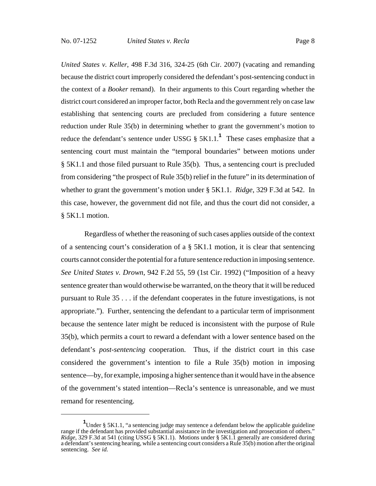*United States v. Keller*, 498 F.3d 316, 324-25 (6th Cir. 2007) (vacating and remanding because the district court improperly considered the defendant's post-sentencing conduct in the context of a *Booker* remand). In their arguments to this Court regarding whether the district court considered an improper factor, both Recla and the government rely on case law establishing that sentencing courts are precluded from considering a future sentence reduction under Rule 35(b) in determining whether to grant the government's motion to reduce the defendant's sentence under USSG § 5K1.1.**<sup>1</sup>** These cases emphasize that a sentencing court must maintain the "temporal boundaries" between motions under § 5K1.1 and those filed pursuant to Rule 35(b). Thus, a sentencing court is precluded from considering "the prospect of Rule 35(b) relief in the future" in its determination of whether to grant the government's motion under § 5K1.1. *Ridge*, 329 F.3d at 542. In this case, however, the government did not file, and thus the court did not consider, a § 5K1.1 motion.

 Regardless of whether the reasoning of such cases applies outside of the context of a sentencing court's consideration of a § 5K1.1 motion, it is clear that sentencing courts cannot consider the potential for a future sentence reduction in imposing sentence. *See United States v. Drown*, 942 F.2d 55, 59 (1st Cir. 1992) ("Imposition of a heavy sentence greater than would otherwise be warranted, on the theory that it will be reduced pursuant to Rule 35 . . . if the defendant cooperates in the future investigations, is not appropriate."). Further, sentencing the defendant to a particular term of imprisonment because the sentence later might be reduced is inconsistent with the purpose of Rule 35(b), which permits a court to reward a defendant with a lower sentence based on the defendant's *post-sentencing* cooperation. Thus, if the district court in this case considered the government's intention to file a Rule 35(b) motion in imposing sentence—by, for example, imposing a higher sentence than it would have in the absence of the government's stated intention—Recla's sentence is unreasonable, and we must remand for resentencing.

**<sup>1</sup>** Under § 5K1.1, "a sentencing judge may sentence a defendant below the applicable guideline range if the defendant has provided substantial assistance in the investigation and prosecution of others." *Ridge*, 329 F.3d at 541 (citing USSG § 5K1.1). Motions under § 5K1.1 generally are considered during a defendant's sentencing hearing, while a sentencing court considers a Rule 35(b) motion after the original sentencing. *See id.*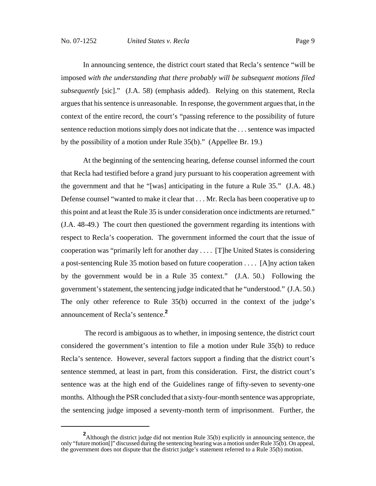In announcing sentence, the district court stated that Recla's sentence "will be imposed *with the understanding that there probably will be subsequent motions filed subsequently* [sic]." (J.A. 58) (emphasis added). Relying on this statement, Recla argues that his sentence is unreasonable. In response, the government argues that, in the context of the entire record, the court's "passing reference to the possibility of future sentence reduction motions simply does not indicate that the . . . sentence was impacted by the possibility of a motion under Rule 35(b)." (Appellee Br. 19.)

At the beginning of the sentencing hearing, defense counsel informed the court that Recla had testified before a grand jury pursuant to his cooperation agreement with the government and that he "[was] anticipating in the future a Rule 35." (J.A. 48.) Defense counsel "wanted to make it clear that . . . Mr. Recla has been cooperative up to this point and at least the Rule 35 is under consideration once indictments are returned." (J.A. 48-49.) The court then questioned the government regarding its intentions with respect to Recla's cooperation. The government informed the court that the issue of cooperation was "primarily left for another day . . . . [T]he United States is considering a post-sentencing Rule 35 motion based on future cooperation . . . . [A]ny action taken by the government would be in a Rule 35 context." (J.A. 50.) Following the government's statement, the sentencing judge indicated that he "understood." (J.A. 50.) The only other reference to Rule 35(b) occurred in the context of the judge's announcement of Recla's sentence.**<sup>2</sup>**

 The record is ambiguous as to whether, in imposing sentence, the district court considered the government's intention to file a motion under Rule 35(b) to reduce Recla's sentence. However, several factors support a finding that the district court's sentence stemmed, at least in part, from this consideration. First, the district court's sentence was at the high end of the Guidelines range of fifty-seven to seventy-one months. Although the PSR concluded that a sixty-four-month sentence was appropriate, the sentencing judge imposed a seventy-month term of imprisonment. Further, the

**<sup>2</sup>** Although the district judge did not mention Rule 35(b) explicitly in announcing sentence, the only "future motion[]" discussed during the sentencing hearing was a motion under Rule 35(b). On appeal, the government does not dispute that the district judge's statement referred to a Rule 35(b) motion.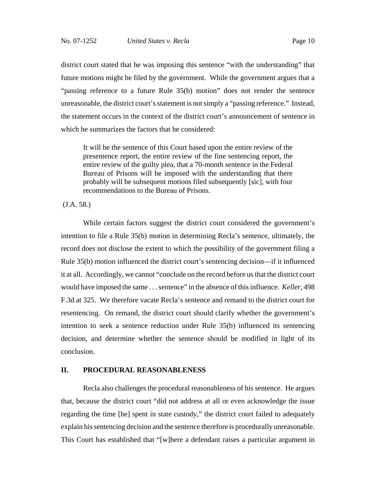district court stated that he was imposing this sentence "with the understanding" that future motions might be filed by the government. While the government argues that a "passing reference to a future Rule 35(b) motion" does not render the sentence unreasonable, the district court's statement is not simply a "passing reference." Instead, the statement occurs in the context of the district court's announcement of sentence in which he summarizes the factors that he considered:

It will be the sentence of this Court based upon the entire review of the presentence report, the entire review of the fine sentencing report, the entire review of the guilty plea, that a 70-month sentence in the Federal Bureau of Prisons will be imposed with the understanding that there probably will be subsequent motions filed subsequently [sic], with four recommendations to the Bureau of Prisons.

(J.A. 58.)

While certain factors suggest the district court considered the government's intention to file a Rule 35(b) motion in determining Recla's sentence, ultimately, the record does not disclose the extent to which the possibility of the government filing a Rule 35(b) motion influenced the district court's sentencing decision—if it influenced it at all. Accordingly, we cannot "conclude on the record before us that the district court would have imposed the same . . . sentence" in the absence of this influence. *Keller*, 498 F.3d at 325. We therefore vacate Recla's sentence and remand to the district court for resentencing. On remand, the district court should clarify whether the government's intention to seek a sentence reduction under Rule 35(b) influenced its sentencing decision, and determine whether the sentence should be modified in light of its conclusion.

## **II. PROCEDURAL REASONABLENESS**

Recla also challenges the procedural reasonableness of his sentence. He argues that, because the district court "did not address at all or even acknowledge the issue regarding the time [he] spent in state custody," the district court failed to adequately explain his sentencing decision and the sentence therefore is procedurally unreasonable. This Court has established that "[w]here a defendant raises a particular argument in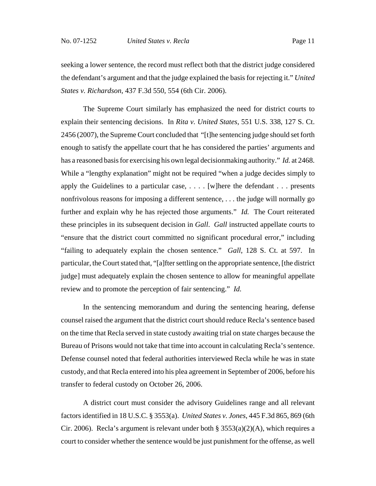seeking a lower sentence, the record must reflect both that the district judge considered the defendant's argument and that the judge explained the basis for rejecting it." *United States v. Richardson*, 437 F.3d 550, 554 (6th Cir. 2006).

The Supreme Court similarly has emphasized the need for district courts to explain their sentencing decisions. In *Rita v. United States*, 551 U.S. 338, 127 S. Ct. 2456 (2007), the Supreme Court concluded that "[t]he sentencing judge should set forth enough to satisfy the appellate court that he has considered the parties' arguments and has a reasoned basis for exercising his own legal decisionmaking authority." *Id.* at 2468. While a "lengthy explanation" might not be required "when a judge decides simply to apply the Guidelines to a particular case, . . . . [w]here the defendant . . . presents nonfrivolous reasons for imposing a different sentence, . . . the judge will normally go further and explain why he has rejected those arguments." *Id.* The Court reiterated these principles in its subsequent decision in *Gall*. *Gall* instructed appellate courts to "ensure that the district court committed no significant procedural error," including "failing to adequately explain the chosen sentence." *Gall*, 128 S. Ct. at 597. In particular, the Court stated that, "[a]fter settling on the appropriate sentence, [the district judge] must adequately explain the chosen sentence to allow for meaningful appellate review and to promote the perception of fair sentencing." *Id.*

In the sentencing memorandum and during the sentencing hearing, defense counsel raised the argument that the district court should reduce Recla's sentence based on the time that Recla served in state custody awaiting trial on state charges because the Bureau of Prisons would not take that time into account in calculating Recla's sentence. Defense counsel noted that federal authorities interviewed Recla while he was in state custody, and that Recla entered into his plea agreement in September of 2006, before his transfer to federal custody on October 26, 2006.

A district court must consider the advisory Guidelines range and all relevant factors identified in 18 U.S.C. § 3553(a). *United States v. Jones*, 445 F.3d 865, 869 (6th Cir. 2006). Recla's argument is relevant under both §  $3553(a)(2)(A)$ , which requires a court to consider whether the sentence would be just punishment for the offense, as well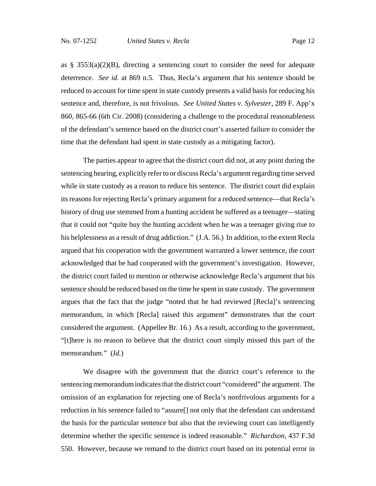as § 3553(a)(2)(B), directing a sentencing court to consider the need for adequate deterrence. *See id.* at 869 n.5. Thus, Recla's argument that his sentence should be reduced to account for time spent in state custody presents a valid basis for reducing his sentence and, therefore, is not frivolous. *See United States v. Sylvester*, 289 F. App'x 860, 865-66 (6th Cir. 2008) (considering a challenge to the procedural reasonableness of the defendant's sentence based on the district court's asserted failure to consider the time that the defendant had spent in state custody as a mitigating factor).

The parties appear to agree that the district court did not, at any point during the sentencing hearing, explicitly refer to or discuss Recla's argument regarding time served while in state custody as a reason to reduce his sentence. The district court did explain its reasons for rejecting Recla's primary argument for a reduced sentence—that Recla's history of drug use stemmed from a hunting accident he suffered as a teenager—stating that it could not "quite buy the hunting accident when he was a teenager giving rise to his helplessness as a result of drug addiction." (J.A. 56.) In addition, to the extent Recla argued that his cooperation with the government warranted a lower sentence, the court acknowledged that he had cooperated with the government's investigation. However, the district court failed to mention or otherwise acknowledge Recla's argument that his sentence should be reduced based on the time he spent in state custody. The government argues that the fact that the judge "noted that he had reviewed [Recla]'s sentencing memorandum, in which [Recla] raised this argument" demonstrates that the court considered the argument. (Appellee Br. 16.) As a result, according to the government, "[t]here is no reason to believe that the district court simply missed this part of the memorandum." (*Id.*)

We disagree with the government that the district court's reference to the sentencing memorandum indicates that the district court "considered" the argument. The omission of an explanation for rejecting one of Recla's nonfrivolous arguments for a reduction in his sentence failed to "assure[] not only that the defendant can understand the basis for the particular sentence but also that the reviewing court can intelligently determine whether the specific sentence is indeed reasonable." *Richardson*, 437 F.3d 550. However, because we remand to the district court based on its potential error in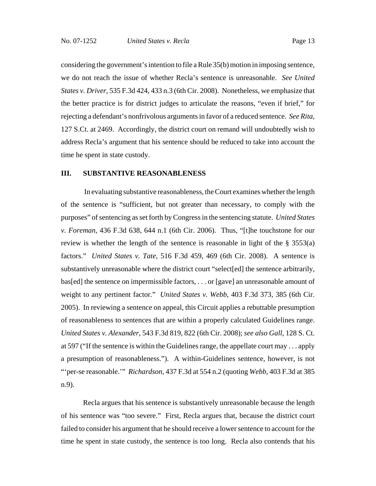considering the government's intention to file a Rule 35(b) motion in imposing sentence, we do not reach the issue of whether Recla's sentence is unreasonable. *See United States v. Driver*, 535 F.3d 424, 433 n.3 (6th Cir. 2008). Nonetheless, we emphasize that the better practice is for district judges to articulate the reasons, "even if brief," for rejecting a defendant's nonfrivolous arguments in favor of a reduced sentence. *See Rita*, 127 S.Ct. at 2469. Accordingly, the district court on remand will undoubtedly wish to address Recla's argument that his sentence should be reduced to take into account the time he spent in state custody.

## **III. SUBSTANTIVE REASONABLENESS**

 In evaluating substantive reasonableness, the Court examines whether the length of the sentence is "sufficient, but not greater than necessary, to comply with the purposes" of sentencing as set forth by Congress in the sentencing statute. *United States v. Foreman*, 436 F.3d 638, 644 n.1 (6th Cir. 2006). Thus, "[t]he touchstone for our review is whether the length of the sentence is reasonable in light of the § 3553(a) factors." *United States v. Tate*, 516 F.3d 459, 469 (6th Cir. 2008). A sentence is substantively unreasonable where the district court "select[ed] the sentence arbitrarily, bas[ed] the sentence on impermissible factors, . . . or [gave] an unreasonable amount of weight to any pertinent factor." *United States v. Webb*, 403 F.3d 373, 385 (6th Cir. 2005). In reviewing a sentence on appeal, this Circuit applies a rebuttable presumption of reasonableness to sentences that are within a properly calculated Guidelines range. *United States v. Alexander*, 543 F.3d 819, 822 (6th Cir. 2008); *see also Gall*, 128 S. Ct. at 597 ("If the sentence is within the Guidelines range, the appellate court may . . . apply a presumption of reasonableness."). A within-Guidelines sentence, however, is not "'per-se reasonable.'" *Richardson*, 437 F.3d at 554 n.2 (quoting *Webb*, 403 F.3d at 385 n.9).

Recla argues that his sentence is substantively unreasonable because the length of his sentence was "too severe." First, Recla argues that, because the district court failed to consider his argument that he should receive a lower sentence to account for the time he spent in state custody, the sentence is too long. Recla also contends that his